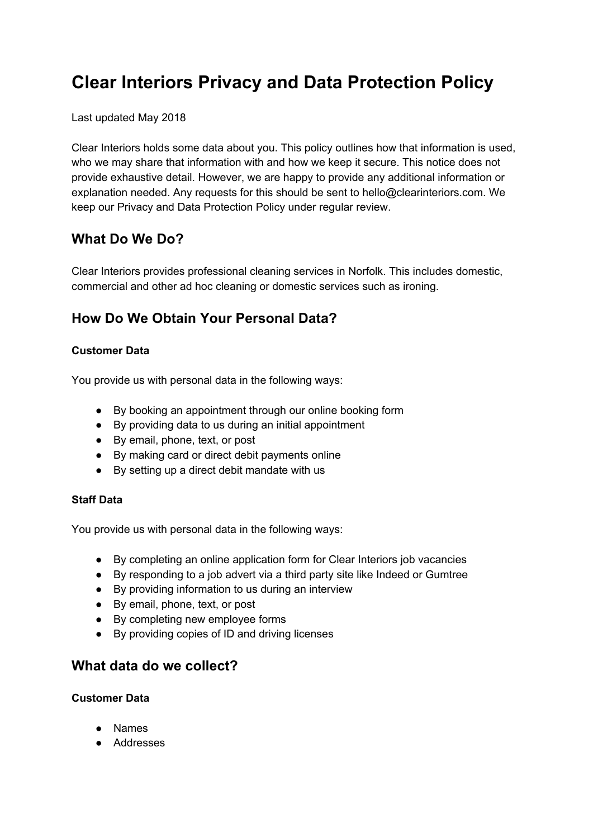# **Clear Interiors Privacy and Data Protection Policy**

#### Last updated May 2018

Clear Interiors holds some data about you. This policy outlines how that information is used, who we may share that information with and how we keep it secure. This notice does not provide exhaustive detail. However, we are happy to provide any additional information or explanation needed. Any requests for this should be sent to hello@clearinteriors.com. We keep our Privacy and Data Protection Policy under regular review.

## **What Do We Do?**

Clear Interiors provides professional cleaning services in Norfolk. This includes domestic, commercial and other ad hoc cleaning or domestic services such as ironing.

# **How Do We Obtain Your Personal Data?**

#### **Customer Data**

You provide us with personal data in the following ways:

- By booking an appointment through our online booking form
- By providing data to us during an initial appointment
- By email, phone, text, or post
- By making card or direct debit payments online
- By setting up a direct debit mandate with us

#### **Staff Data**

You provide us with personal data in the following ways:

- By completing an online application form for Clear Interiors job vacancies
- By responding to a job advert via a third party site like Indeed or Gumtree
- By providing information to us during an interview
- By email, phone, text, or post
- By completing new employee forms
- By providing copies of ID and driving licenses

### **What data do we collect?**

#### **Customer Data**

- Names
- Addresses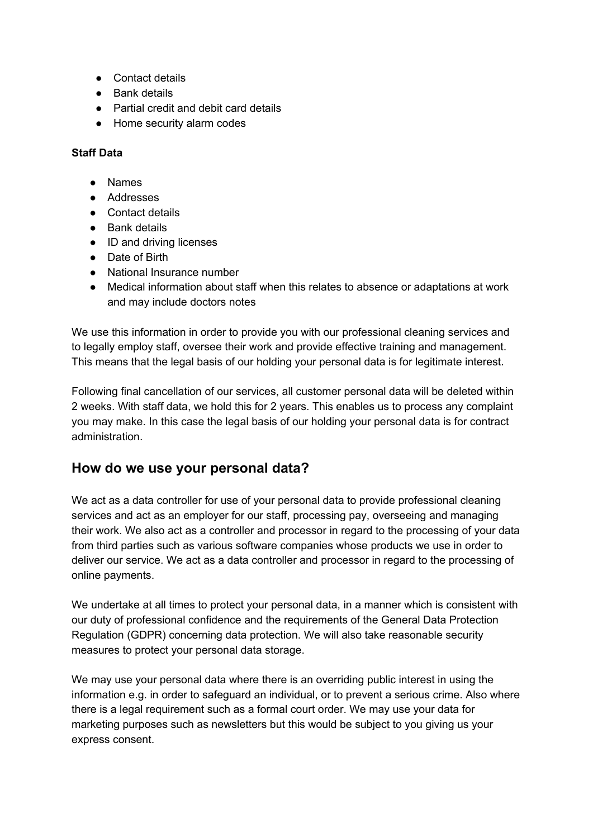- Contact details
- Bank details
- Partial credit and debit card details
- Home security alarm codes

#### **Staff Data**

- Names
- Addresses
- Contact details
- Bank details
- ID and driving licenses
- Date of Birth
- National Insurance number
- Medical information about staff when this relates to absence or adaptations at work and may include doctors notes

We use this information in order to provide you with our professional cleaning services and to legally employ staff, oversee their work and provide effective training and management. This means that the legal basis of our holding your personal data is for legitimate interest.

Following final cancellation of our services, all customer personal data will be deleted within 2 weeks. With staff data, we hold this for 2 years. This enables us to process any complaint you may make. In this case the legal basis of our holding your personal data is for contract administration.

### **How do we use your personal data?**

We act as a data controller for use of your personal data to provide professional cleaning services and act as an employer for our staff, processing pay, overseeing and managing their work. We also act as a controller and processor in regard to the processing of your data from third parties such as various software companies whose products we use in order to deliver our service. We act as a data controller and processor in regard to the processing of online payments.

We undertake at all times to protect your personal data, in a manner which is consistent with our duty of professional confidence and the requirements of the General Data Protection Regulation (GDPR) concerning data protection. We will also take reasonable security measures to protect your personal data storage.

We may use your personal data where there is an overriding public interest in using the information e.g. in order to safeguard an individual, or to prevent a serious crime. Also where there is a legal requirement such as a formal court order. We may use your data for marketing purposes such as newsletters but this would be subject to you giving us your express consent.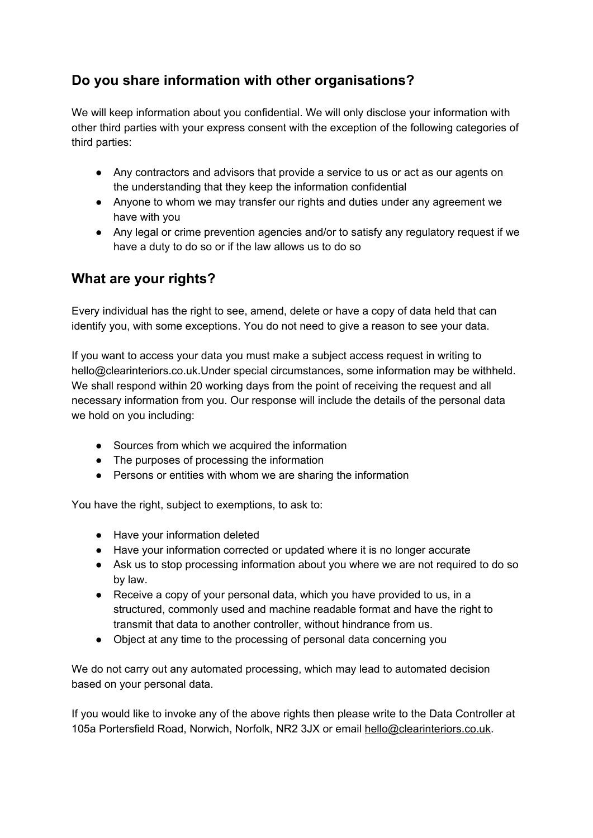# **Do you share information with other organisations?**

We will keep information about you confidential. We will only disclose your information with other third parties with your express consent with the exception of the following categories of third parties:

- Any contractors and advisors that provide a service to us or act as our agents on the understanding that they keep the information confidential
- Anyone to whom we may transfer our rights and duties under any agreement we have with you
- Any legal or crime prevention agencies and/or to satisfy any regulatory request if we have a duty to do so or if the law allows us to do so

# **What are your rights?**

Every individual has the right to see, amend, delete or have a copy of data held that can identify you, with some exceptions. You do not need to give a reason to see your data.

If you want to access your data you must make a subject access request in writing to hello@clearinteriors.co.uk.Under special circumstances, some information may be withheld. We shall respond within 20 working days from the point of receiving the request and all necessary information from you. Our response will include the details of the personal data we hold on you including:

- Sources from which we acquired the information
- The purposes of processing the information
- Persons or entities with whom we are sharing the information

You have the right, subject to exemptions, to ask to:

- Have your information deleted
- Have your information corrected or updated where it is no longer accurate
- Ask us to stop processing information about you where we are not required to do so by law.
- Receive a copy of your personal data, which you have provided to us, in a structured, commonly used and machine readable format and have the right to transmit that data to another controller, without hindrance from us.
- Object at any time to the processing of personal data concerning you

We do not carry out any automated processing, which may lead to automated decision based on your personal data.

If you would like to invoke any of the above rights then please write to the Data Controller at 105a Portersfield Road, Norwich, Norfolk, NR2 3JX or email [hello@clearinteriors.co.uk](mailto:hello@clearinteriors.co.uk).